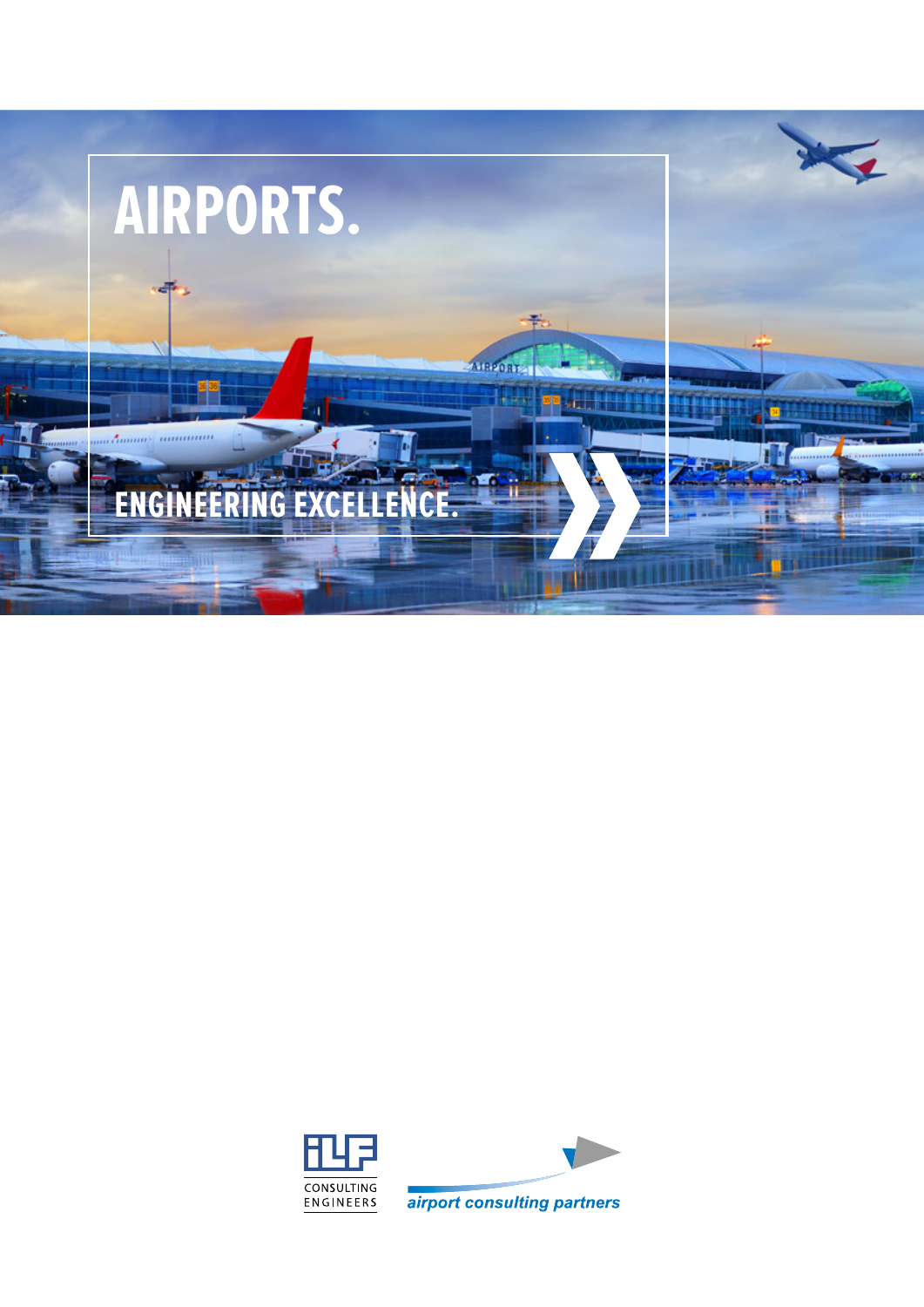

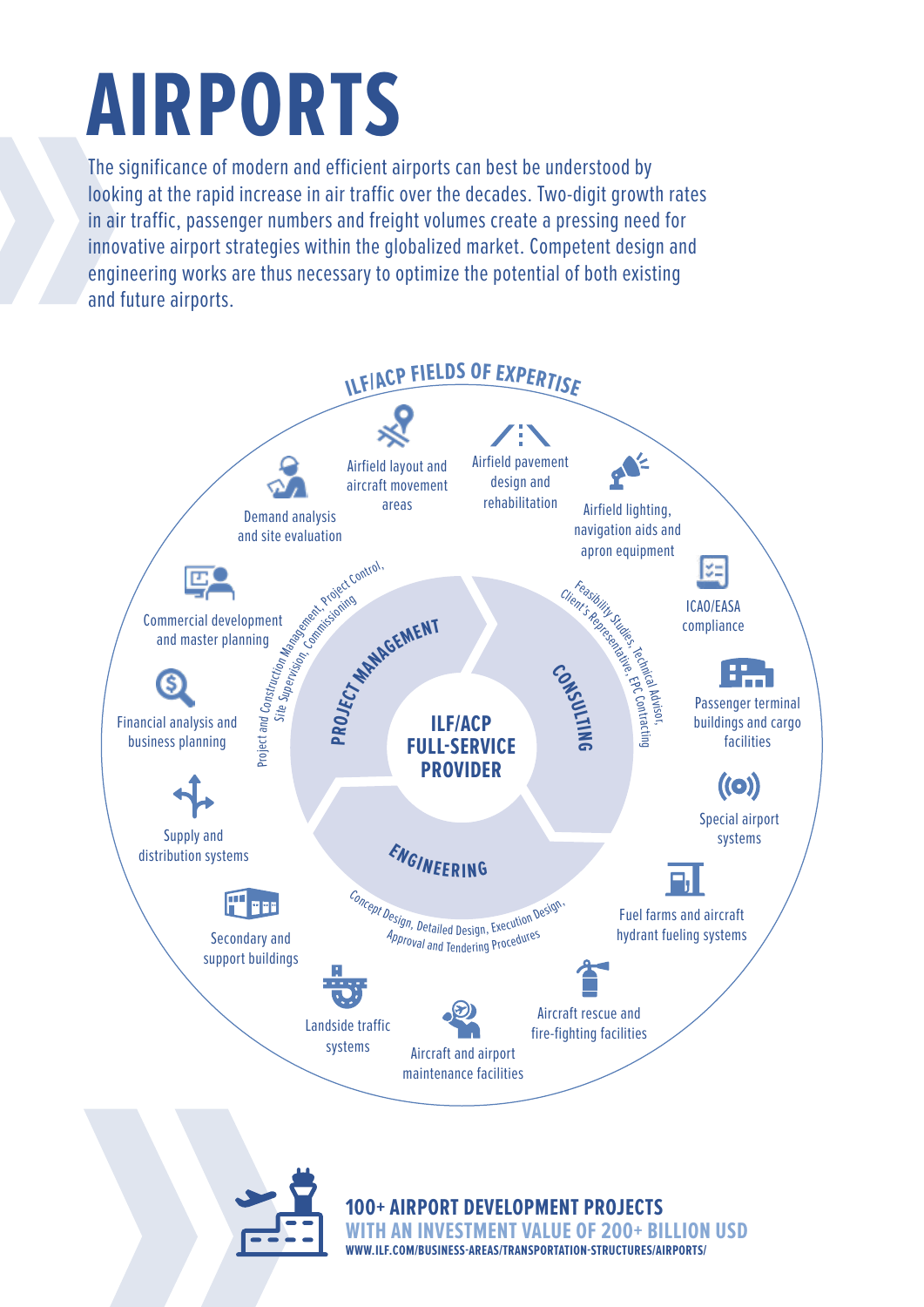## **AIRPORTS**

The significance of modern and efficient airports can best be understood by looking at the rapid increase in air traffic over the decades. Two-digit growth rates in air traffic, passenger numbers and freight volumes create a pressing need for innovative airport strategies within the globalized market. Competent design and engineering works are thus necessary to optimize the potential of both existing and future airports.



**ESTMENT VALUE OF 200+ BILLION USD WWW.ILF.COM/BUSINESS-AREAS/TRANSPORTATION-STRUCTURES/AIRPORTS/**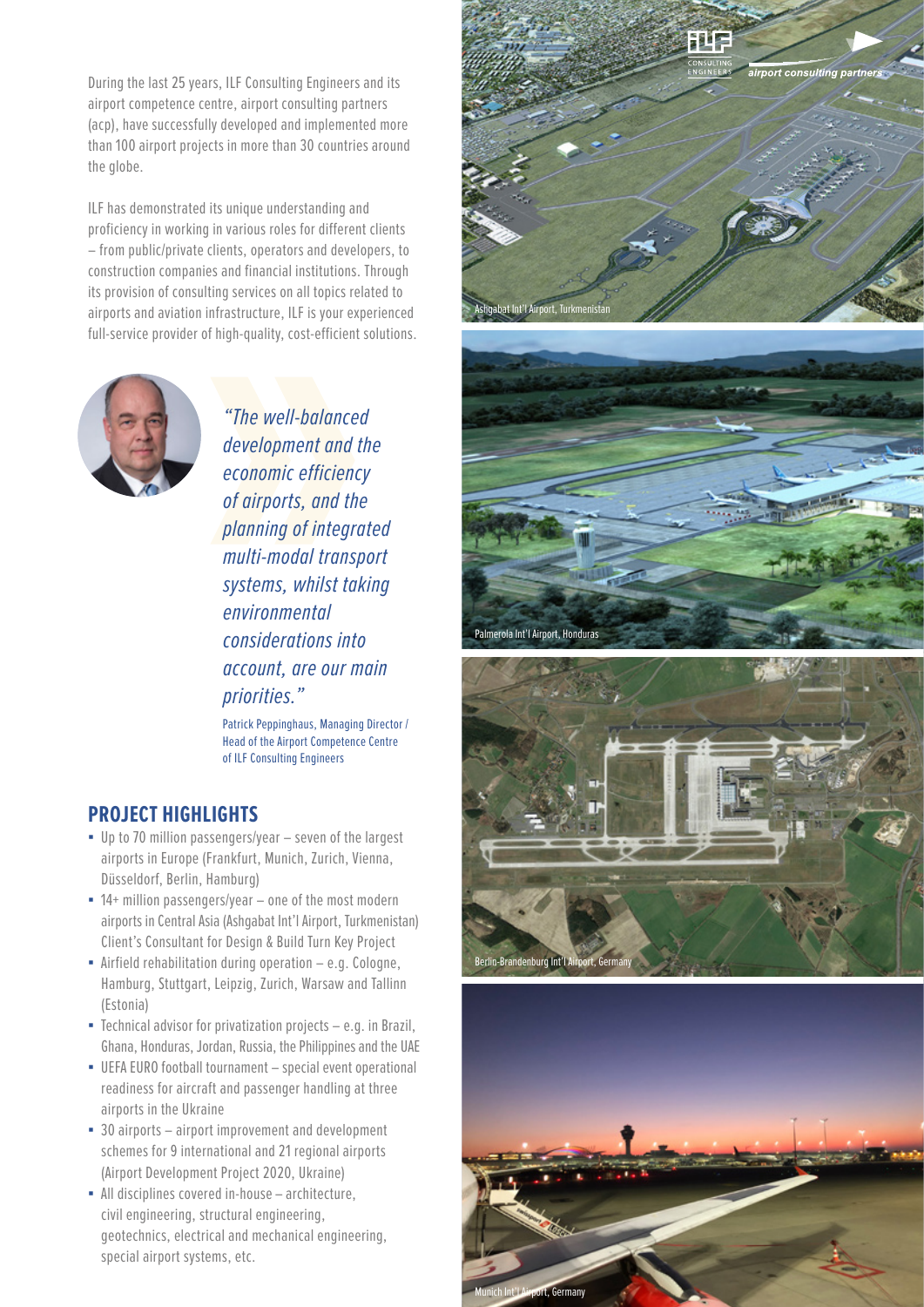During the last 25 years, ILF Consulting Engineers and its airport competence centre, airport consulting partners (acp), have successfully developed and implemented more than 100 airport projects in more than 30 countries around the globe.

ILF has demonstrated its unique understanding and proficiency in working in various roles for different clients – from public/private clients, operators and developers, to construction companies and financial institutions. Through its provision of consulting services on all topics related to airports and aviation infrastructure, ILF is your experienced full-service provider of high-quality, cost-efficient solutions.



*"The well-balanced development and the economic efficiency of airports, and the planning of integrated multi-modal transport systems, whilst taking environmental considerations into account, are our main priorities."*

Patrick Peppinghaus, Managing Director / Head of the Airport Competence Centre of ILF Consulting Engineers

## **PROJECT HIGHLIGHTS**

- Up to 70 million passengers/year seven of the largest airports in Europe (Frankfurt, Munich, Zurich, Vienna, Düsseldorf, Berlin, Hamburg)
- $\blacksquare$  14+ million passengers/year one of the most modern airports in Central Asia (Ashgabat Int'l Airport, Turkmenistan) Client's Consultant for Design & Build Turn Key Project
- $\blacksquare$  Airfield rehabilitation during operation  $-$  e.g. Cologne, Hamburg, Stuttgart, Leipzig, Zurich, Warsaw and Tallinn (Estonia)
- **•** Technical advisor for privatization projects  $-$  e.g. in Brazil, Ghana, Honduras, Jordan, Russia, the Philippines and the UAE
- **UEFA EURO football tournament special event operational** readiness for aircraft and passenger handling at three airports in the Ukraine
- 30 airports airport improvement and development schemes for 9 international and 21 regional airports (Airport Development Project 2020, Ukraine)
- All disciplines covered in-house architecture, civil engineering, structural engineering, geotechnics, electrical and mechanical engineering, special airport systems, etc.